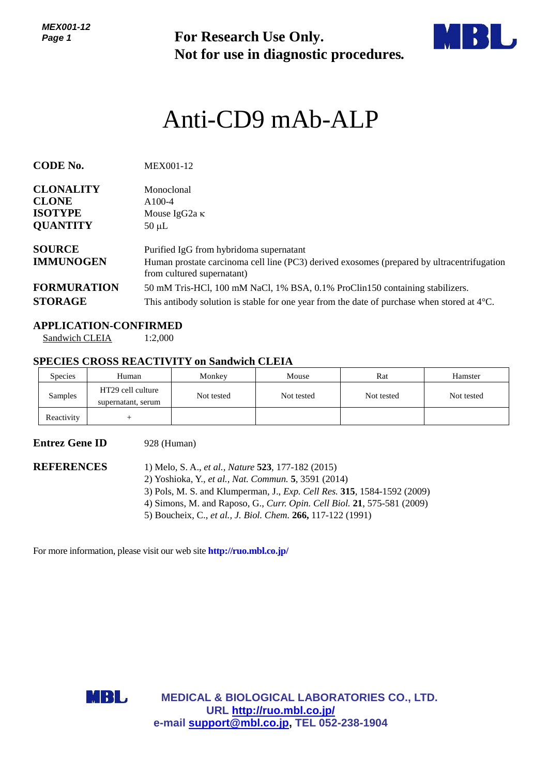*MEX001-12 Page 1*

**For Research Use Only. Not for use in diagnostic procedures.**



# Anti-CD9 mAb-ALP

| <b>CODE No.</b>                   | MEX001-12                                                                                                                                                           |
|-----------------------------------|---------------------------------------------------------------------------------------------------------------------------------------------------------------------|
| <b>CLONALITY</b>                  | Monoclonal                                                                                                                                                          |
| <b>CLONE</b>                      | $A100-4$                                                                                                                                                            |
| <b>ISOTYPE</b>                    | Mouse IgG2a $\kappa$                                                                                                                                                |
| <b>QUANTITY</b>                   | $50 \mu L$                                                                                                                                                          |
| <b>SOURCE</b><br><b>IMMUNOGEN</b> | Purified IgG from hybridoma supernatant<br>Human prostate carcinoma cell line (PC3) derived exosomes (prepared by ultracentrifugation<br>from cultured supernatant) |
| <b>FORMURATION</b>                | 50 mM Tris-HCl, 100 mM NaCl, 1% BSA, 0.1% ProClin150 containing stabilizers.                                                                                        |
| <b>STORAGE</b>                    | This antibody solution is stable for one year from the date of purchase when stored at $4^{\circ}$ C.                                                               |

#### **APPLICATION-CONFIRMED**

Sandwich CLEIA 1:2,000

#### **SPECIES CROSS REACTIVITY on Sandwich CLEIA**

| <b>Species</b> | Human                                   | Monkey     | Mouse      | Rat        | Hamster    |
|----------------|-----------------------------------------|------------|------------|------------|------------|
| Samples        | HT29 cell culture<br>supernatant, serum | Not tested | Not tested | Not tested | Not tested |
| Reactivity     |                                         |            |            |            |            |

### **Entrez Gene ID** 928 (Human)

**REFERENCES** 1) Melo, S. A., *et al., Nature* **523**, 177-182 (2015) 2) Yoshioka, Y., *et al., Nat. Commun.* **5**, 3591 (2014) 3) Pols, M. S. and Klumperman, J., *Exp. Cell Res.* **315**, 1584-1592 (2009) 4) Simons, M. and Raposo, G., *Curr. Opin. Cell Biol.* **21**, 575-581 (2009) 5) Boucheix, C., *et al., J. Biol. Chem.* **266,** 117-122 (1991)

For more information, please visit our web site **<http://ruo.mbl.co.jp/>**



**MEDICAL & BIOLOGICAL LABORATORIES CO., LTD. URL <http://ruo.mbl.co.jp/> e-mail [support@mbl.co.jp,](mailto:support@mbl.co.jp) TEL 052-238-1904**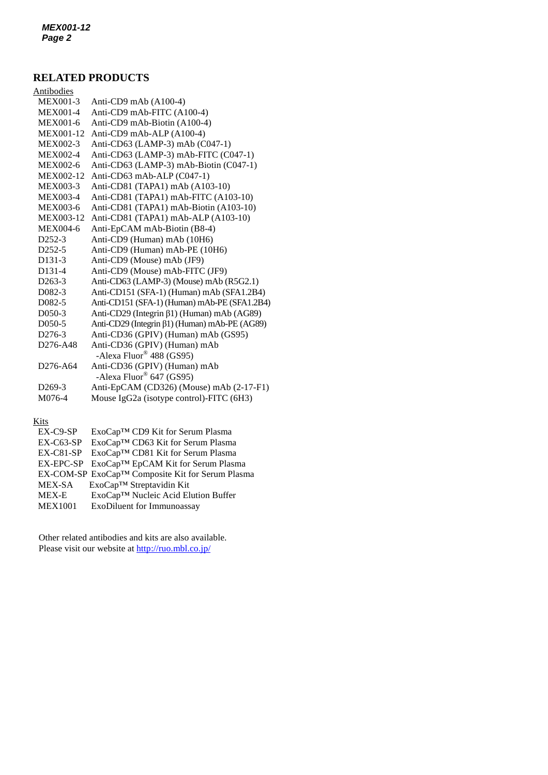## **RELATED PRODUCTS**

| Antibodies                        |                                               |
|-----------------------------------|-----------------------------------------------|
| <b>MEX001-3</b>                   | Anti-CD9 mAb (A100-4)                         |
| <b>MEX001-4</b>                   | Anti-CD9 mAb-FITC (A100-4)                    |
| MEX001-6                          | Anti-CD9 mAb-Biotin (A100-4)                  |
| MEX001-12                         | Anti-CD9 mAb-ALP (A100-4)                     |
| MEX002-3                          | Anti-CD63 (LAMP-3) mAb (C047-1)               |
| MEX002-4                          | Anti-CD63 (LAMP-3) mAb-FITC (C047-1)          |
| <b>MEX002-6</b>                   | Anti-CD63 (LAMP-3) mAb-Biotin (C047-1)        |
| MEX002-12                         | Anti-CD63 mAb-ALP (C047-1)                    |
| MEX003-3                          | Anti-CD81 (TAPA1) mAb (A103-10)               |
| <b>MEX003-4</b>                   | Anti-CD81 (TAPA1) mAb-FITC (A103-10)          |
| <b>MEX003-6</b>                   | Anti-CD81 (TAPA1) mAb-Biotin (A103-10)        |
| MEX003-12                         | Anti-CD81 (TAPA1) mAb-ALP (A103-10)           |
| MEX004-6                          | Anti-EpCAM mAb-Biotin (B8-4)                  |
| D <sub>252</sub> -3               | Anti-CD9 (Human) mAb (10H6)                   |
| $D252-5$                          | Anti-CD9 (Human) mAb-PE (10H6)                |
| D <sub>131</sub> -3               | Anti-CD9 (Mouse) mAb (JF9)                    |
| D <sub>131-4</sub>                | Anti-CD9 (Mouse) mAb-FITC (JF9)               |
| $D263-3$                          | Anti-CD63 (LAMP-3) (Mouse) mAb (R5G2.1)       |
| D <sub>0</sub> 82-3               | Anti-CD151 (SFA-1) (Human) mAb (SFA1.2B4)     |
| D <sub>0</sub> 82-5               | Anti-CD151 (SFA-1) (Human) mAb-PE (SFA1.2B4)  |
| D <sub>050</sub> -3               | Anti-CD29 (Integrin β1) (Human) mAb (AG89)    |
| D <sub>050</sub> -5               | Anti-CD29 (Integrin β1) (Human) mAb-PE (AG89) |
| D <sub>276-3</sub>                | Anti-CD36 (GPIV) (Human) mAb (GS95)           |
| D <sub>276</sub> -A <sub>48</sub> | Anti-CD36 (GPIV) (Human) mAb                  |
|                                   | -Alexa Fluor <sup>®</sup> 488 (GS95)          |
| D <sub>276</sub> -A <sub>64</sub> | Anti-CD36 (GPIV) (Human) mAb                  |
|                                   | -Alexa Fluor <sup>®</sup> 647 (GS95)          |
| D <sub>269</sub> -3               | Anti-EpCAM (CD326) (Mouse) mAb (2-17-F1)      |
| M076-4                            | Mouse IgG2a (isotype control)-FITC (6H3)      |
|                                   |                                               |

#### Kits

| $EX-C9-SP$     | ExoCap™ CD9 Kit for Serum Plasma                 |
|----------------|--------------------------------------------------|
| $EX-C63-SP$    | ExoCap™ CD63 Kit for Serum Plasma                |
| $EX-C81-SP$    | ExoCap™ CD81 Kit for Serum Plasma                |
|                | EX-EPC-SP ExoCap™ EpCAM Kit for Serum Plasma     |
|                | EX-COM-SP ExoCap™ Composite Kit for Serum Plasma |
| MEX-SA         | ExoCap™ Streptavidin Kit                         |
| <b>MEX-E</b>   | ExoCap™ Nucleic Acid Elution Buffer              |
| <b>MEX1001</b> | ExoDiluent for Immunoassay                       |
|                |                                                  |

Other related antibodies and kits are also available. Please visit our website at<http://ruo.mbl.co.jp/>